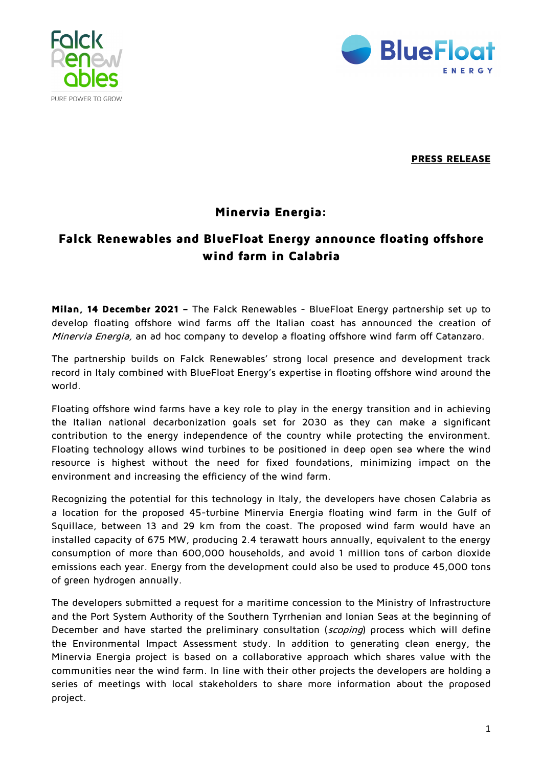



**PRESS RELEASE** 

## **Minervia Energia:**

## **Falck Renewables and BlueFloat Energy announce floating offshore wind farm in Calabria**

**Milan, 14 December 2021 –** The Falck Renewables - BlueFloat Energy partnership set up to develop floating offshore wind farms off the Italian coast has announced the creation of Minervia Energia, an ad hoc company to develop a floating offshore wind farm off Catanzaro.

The partnership builds on Falck Renewables' strong local presence and development track record in Italy combined with BlueFloat Energy's expertise in floating offshore wind around the world.

Floating offshore wind farms have a key role to play in the energy transition and in achieving the Italian national decarbonization goals set for 2030 as they can make a significant contribution to the energy independence of the country while protecting the environment. Floating technology allows wind turbines to be positioned in deep open sea where the wind resource is highest without the need for fixed foundations, minimizing impact on the environment and increasing the efficiency of the wind farm.

Recognizing the potential for this technology in Italy, the developers have chosen Calabria as a location for the proposed 45-turbine Minervia Energia floating wind farm in the Gulf of Squillace, between 13 and 29 km from the coast. The proposed wind farm would have an installed capacity of 675 MW, producing 2.4 terawatt hours annually, equivalent to the energy consumption of more than 600,000 households, and avoid 1 million tons of carbon dioxide emissions each year. Energy from the development could also be used to produce 45,000 tons of green hydrogen annually.

The developers submitted a request for a maritime concession to the Ministry of Infrastructure and the Port System Authority of the Southern Tyrrhenian and Ionian Seas at the beginning of December and have started the preliminary consultation (scoping) process which will define the Environmental Impact Assessment study. In addition to generating clean energy, the Minervia Energia project is based on a collaborative approach which shares value with the communities near the wind farm. In line with their other projects the developers are holding a series of meetings with local stakeholders to share more information about the proposed project.